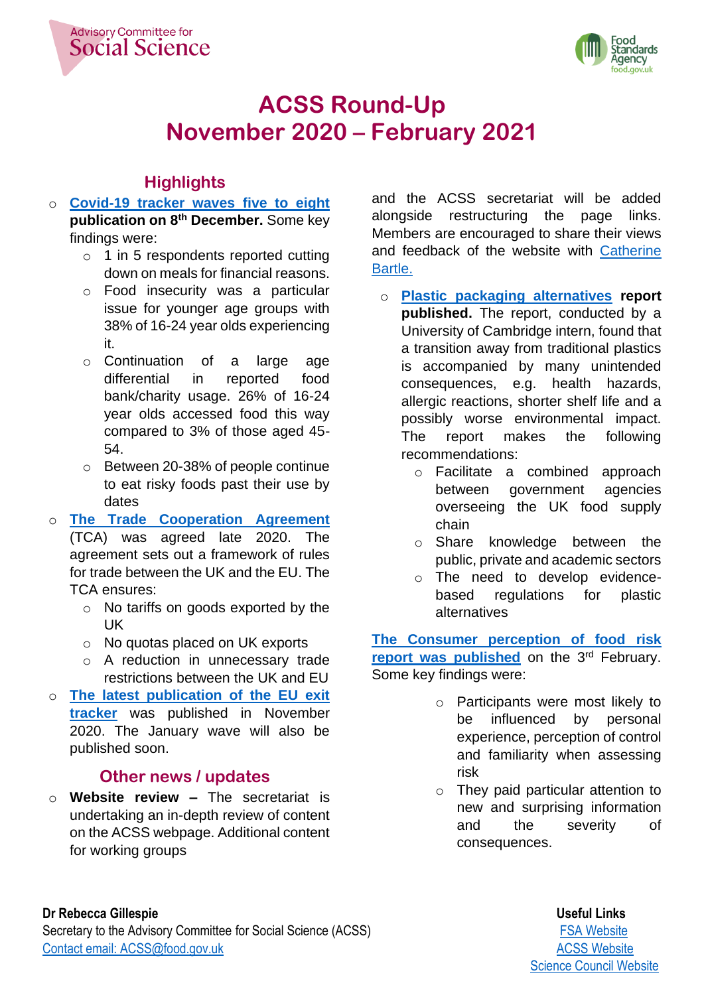



# **ACSS Round-Up November 2020 – February 2021**

# **Highlights**

- o **Covid-19 tracker [waves five to eight](https://www.food.gov.uk/news-alerts/news/covid-19-consumer-tracker-waves-five-to-eight-report-published) publication on 8 th December.** Some key findings were:
	- o 1 in 5 respondents reported cutting down on meals for financial reasons.
	- o Food insecurity was a particular issue for younger age groups with 38% of 16-24 year olds experiencing it.
	- o Continuation of a large age differential in reported food bank/charity usage. 26% of 16-24 year olds accessed food this way compared to 3% of those aged 45- 54.
	- o Between 20-38% of people continue to eat risky foods past their use by dates
- o **[The Trade Cooperation Agreement](https://www.gov.uk/government/publications/agreements-reached-between-the-united-kingdom-of-great-britain-and-northern-ireland-and-the-european-union)** (TCA) was agreed late 2020. The agreement sets out a framework of rules for trade between the UK and the EU. The TCA ensures:
	- o No tariffs on goods exported by the UK
	- o No quotas placed on UK exports
	- o A reduction in unnecessary trade restrictions between the UK and EU
- o **[The latest publication of the EU exit](https://www.food.gov.uk/sites/default/files/media/document/consumers-views-on-eu-and-food-summary-of-findings-october-2020-accessible.pdf)  [tracker](https://www.food.gov.uk/sites/default/files/media/document/consumers-views-on-eu-and-food-summary-of-findings-october-2020-accessible.pdf)** was published in November 2020. The January wave will also be published soon.

# **Other news / updates**

o **Website review –** The secretariat is undertaking an in-depth review of content on the ACSS webpage. Additional content for working groups

and the ACSS secretariat will be added alongside restructuring the page links. Members are encouraged to share their views and feedback of the website with [Catherine](mailto:Catherine.Bartle@food.gov.uk?subject=Website%20Feedback)  [Bartle.](mailto:Catherine.Bartle@food.gov.uk?subject=Website%20Feedback)

- o **[Plastic packaging alternatives](https://www.food.gov.uk/research/research-projects/market-and-safety-analysis-of-alternatives-to-plastic-food-packaging) report published.** The report, conducted by a University of Cambridge intern, found that a transition away from traditional plastics is accompanied by many unintended consequences, e.g. health hazards, allergic reactions, shorter shelf life and a possibly worse environmental impact. The report makes the following recommendations:
	- o Facilitate a combined approach between government agencies overseeing the UK food supply chain
	- o Share knowledge between the public, private and academic sectors
	- o The need to develop evidencebased regulations for plastic alternatives

**[The Consumer perception of food risk](https://www.food.gov.uk/research/research-projects/consumer-perception-of-food-risk)**  [report was published](https://www.food.gov.uk/research/research-projects/consumer-perception-of-food-risk) on the 3<sup>rd</sup> February. Some key findings were:

- o Participants were most likely to be influenced by personal experience, perception of control and familiarity when assessing risk
- o They paid particular attention to new and surprising information and the severity of consequences.

#### **Dr Rebecca Gillespie** Useful Links

Secretary to the Advisory Committee for Social Science (ACSS) **[FSA Website](https://www.food.gov.uk/)** FSA Website [Contact email: ACSS@food.gov.uk](mailto:ACSS@food.gov.uk) and a series of the contact email: [ACSS Website](https://acss.food.gov.uk/)

[Science Council Website](https://science-council.food.gov.uk/)